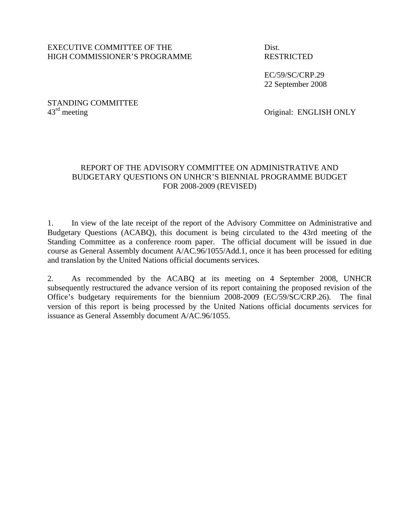### EXECUTIVE COMMITTEE OF THE Dist. HIGH COMMISSIONER'S PROGRAMME RESTRICTED

 EC/59/SC/CRP.29 22 September 2008

STANDING COMMITTEE  $43<sup>rd</sup>$  meeting

Original: ENGLISH ONLY

## REPORT OF THE ADVISORY COMMITTEE ON ADMINISTRATIVE AND BUDGETARY QUESTIONS ON UNHCR'S BIENNIAL PROGRAMME BUDGET FOR 2008-2009 (REVISED)

1. In view of the late receipt of the report of the Advisory Committee on Administrative and Budgetary Questions (ACABQ), this document is being circulated to the 43rd meeting of the Standing Committee as a conference room paper. The official document will be issued in due course as General Assembly document A/AC.96/1055/Add.1, once it has been processed for editing and translation by the United Nations official documents services.

2. As recommended by the ACABQ at its meeting on 4 September 2008, UNHCR subsequently restructured the advance version of its report containing the proposed revision of the Office's budgetary requirements for the biennium 2008-2009 (EC/59/SC/CRP.26). The final version of this report is being processed by the United Nations official documents services for issuance as General Assembly document A/AC.96/1055.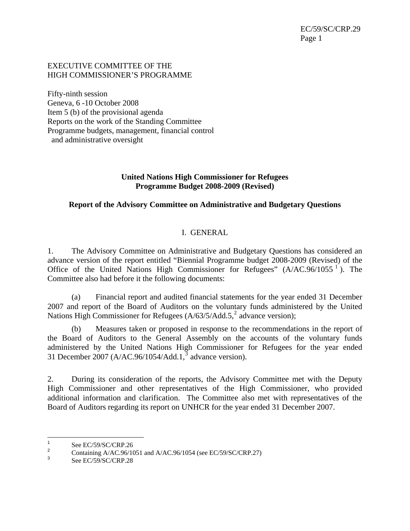## EXECUTIVE COMMITTEE OF THE HIGH COMMISSIONER'S PROGRAMME

Fifty-ninth session Geneva, 6 -10 October 2008 Item 5 (b) of the provisional agenda Reports on the work of the Standing Committee Programme budgets, management, financial control and administrative oversight

## **United Nations High Commissioner for Refugees Programme Budget 2008-2009 (Revised)**

# **Report of the Advisory Committee on Administrative and Budgetary Questions**

# I. GENERAL

1. The Advisory Committee on Administrative and Budgetary Questions has considered an advance version of the report entitled "Biennial Programme budget 2008-2009 (Revised) of the Office of the United Nations High Commissioner for Refugees"  $(A/AC.96/1055^{-1})$  $(A/AC.96/1055^{-1})$  $(A/AC.96/1055^{-1})$ . The Committee also had before it the following documents:

(a) Financial report and audited financial statements for the year ended 31 December 2007 and report of the Board of Auditors on the voluntary funds administered by the United Nations High Commissioner for Refugees  $(A/63/5/Add.5)^2$  $(A/63/5/Add.5)^2$  advance version);

(b) Measures taken or proposed in response to the recommendations in the report of the Board of Auditors to the General Assembly on the accounts of the voluntary funds administered by the United Nations High Commissioner for Refugees for the year ended [3](#page-2-2)1 December 2007 (A/AC.96/1054/Add.1, $\frac{3}{3}$  advance version).

2. During its consideration of the reports, the Advisory Committee met with the Deputy High Commissioner and other representatives of the High Commissioner, who provided additional information and clarification. The Committee also met with representatives of the Board of Auditors regarding its report on UNHCR for the year ended 31 December 2007.

 $\frac{1}{1}$ See EC/59/SC/CRP.26

<sup>2</sup>  $\frac{2}{3}$  Containing A/AC.96/1051 and A/AC.96/1054 (see EC/59/SC/CRP.27)

<span id="page-2-2"></span><span id="page-2-1"></span><span id="page-2-0"></span>See EC/59/SC/CRP.28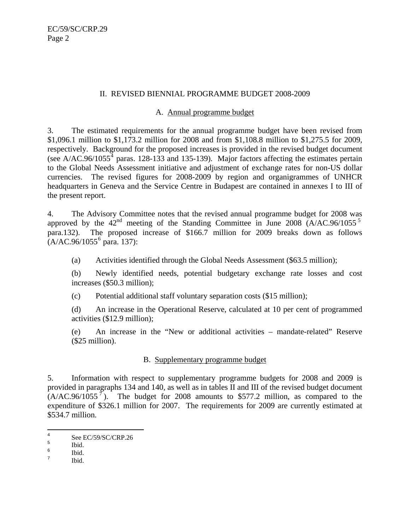## <span id="page-3-0"></span>II. REVISED BIENNIAL PROGRAMME BUDGET 2008-2009

### A. Annual programme budget

3. The estimated requirements for the annual programme budget have been revised from \$1,096.1 million to \$1,173.2 million for 2008 and from \$1,108.8 million to \$1,275.5 for 2009, respectively. Background for the proposed increases is provided in the revised budget document (see A/AC.96/1055<sup>[4](#page-3-0)</sup> paras. 128-133 and 135-139). Major factors affecting the estimates pertain to the Global Needs Assessment initiative and adjustment of exchange rates for non-US dollar currencies. The revised figures for 2008-2009 by region and organigrammes of UNHCR headquarters in Geneva and the Service Centre in Budapest are contained in annexes I to III of the present report.

4. The Advisory Committee notes that the revised annual programme budget for 2008 was approved by the  $42<sup>nd</sup>$  meeting of the Standing Committee in June 2008 (A/AC.96/10[5](#page-3-0)5<sup>5</sup>) para.132). The proposed increase of \$166.7 million for 2009 breaks down as follows  $(A/AC.96/1055^6)$  $(A/AC.96/1055^6)$  $(A/AC.96/1055^6)$  para. 137):

(a) Activities identified through the Global Needs Assessment (\$63.5 million);

(b) Newly identified needs, potential budgetary exchange rate losses and cost increases (\$50.3 million);

(c) Potential additional staff voluntary separation costs (\$15 million);

(d) An increase in the Operational Reserve, calculated at 10 per cent of programmed activities (\$12.9 million);

(e) An increase in the "New or additional activities – mandate-related" Reserve (\$25 million).

# B. Supplementary programme budget

5. Information with respect to supplementary programme budgets for 2008 and 2009 is provided in paragraphs 134 and 140, as well as in tables II and III of the revised budget document  $(A/AC.96/1055<sup>7</sup>)$  $(A/AC.96/1055<sup>7</sup>)$  $(A/AC.96/1055<sup>7</sup>)$ . The budget for 2008 amounts to \$577.2 million, as compared to the expenditure of \$326.1 million for 2007. The requirements for 2009 are currently estimated at \$534.7 million.

Ibid.

 $\frac{1}{4}$ See EC/59/SC/CRP.26

<sup>5</sup> Ibid.

<sup>6</sup>  $\frac{6}{7}$  Ibid.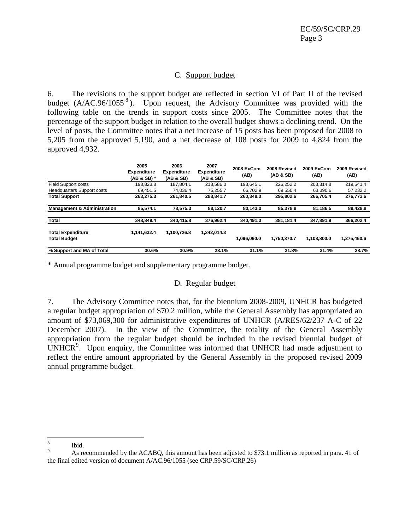## C. Support budget

<span id="page-4-0"></span>6. The revisions to the support budget are reflected in section VI of Part II of the revised budget  $(A/AC.96/1055^8)$  $(A/AC.96/1055^8)$  $(A/AC.96/1055^8)$ . Upon request, the Advisory Committee was provided with the following table on the trends in support costs since 2005. The Committee notes that the percentage of the support budget in relation to the overall budget shows a declining trend. On the level of posts, the Committee notes that a net increase of 15 posts has been proposed for 2008 to 5,205 from the approved 5,190, and a net decrease of 108 posts for 2009 to 4,824 from the approved 4,932.

|                                                 | 2005<br><b>Expenditure</b><br>(AB & SB) * | 2006<br><b>Expenditure</b><br>(AB & SB) | 2007<br><b>Expenditure</b><br>(AB & SB) | 2008 ExCom<br>(AB) | 2008 Revised<br>(AB & SB) | 2009 ExCom<br>(AB) | 2009 Revised<br>(AB) |
|-------------------------------------------------|-------------------------------------------|-----------------------------------------|-----------------------------------------|--------------------|---------------------------|--------------------|----------------------|
| <b>Field Support costs</b>                      | 193.823.8                                 | 187.804.1                               | 213.586.0                               | 193.645.1          | 226.252.2                 | 203.314.8          | 219.541.4            |
| <b>Headquarters Support costs</b>               | 69.451.5                                  | 74.036.4                                | 75.255.7                                | 66.702.9           | 69.550.4                  | 63.390.6           | 57,232.2             |
| <b>Total Support</b>                            | 263,275.3                                 | 261.840.5                               | 288,841.7                               | 260.348.0          | 295.802.6                 | 266.705.4          | 276.773.6            |
| <b>Management &amp; Administration</b>          | 85,574.1                                  | 78.575.3                                | 88.120.7                                | 80.143.0           | 85.378.8                  | 81.186.5           | 89,428.8             |
| Total                                           | 348.849.4                                 | 340.415.8                               | 376.962.4                               | 340.491.0          | 381.181.4                 | 347.891.9          | 366,202.4            |
| <b>Total Expenditure</b><br><b>Total Budget</b> | 1,141,632.4                               | 1,100,726.8                             | 1,342,014.3                             | 1.096.060.0        | 1.750.370.7               | 1.108.800.0        | 1,275,460.6          |
| % Support and MA of Total                       | 30.6%                                     | 30.9%                                   | 28.1%                                   | 31.1%              | 21.8%                     | 31.4%              | 28.7%                |

\* Annual programme budget and supplementary programme budget.

#### D. Regular budget

7. The Advisory Committee notes that, for the biennium 2008-2009, UNHCR has budgeted a regular budget appropriation of \$70.2 million, while the General Assembly has appropriated an amount of \$73,069,300 for administrative expenditures of UNHCR (A/RES/62/237 A-C of 22 December 2007). In the view of the Committee, the totality of the General Assembly appropriation from the regular budget should be included in the revised biennial budget of  $\overline{UNHCR}$ <sup>[9](#page-4-0)</sup>. Upon enquiry, the Committee was informed that UNHCR had made adjustment to reflect the entire amount appropriated by the General Assembly in the proposed revised 2009 annual programme budget.

 8 Ibid.

<sup>9</sup> As recommended by the ACABQ, this amount has been adjusted to \$73.1 million as reported in para. 41 of the final edited version of document A/AC.96/1055 (see CRP.59/SC/CRP.26)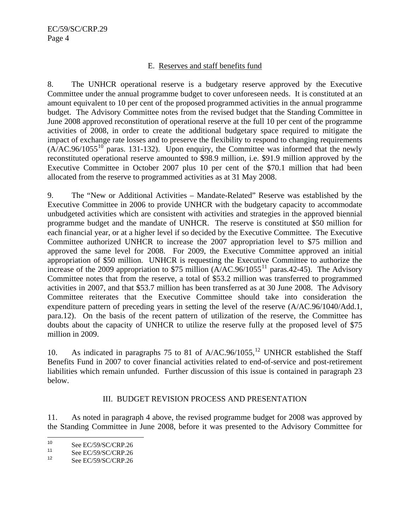# E. Reserves and staff benefits fund

<span id="page-5-0"></span>8. The UNHCR operational reserve is a budgetary reserve approved by the Executive Committee under the annual programme budget to cover unforeseen needs. It is constituted at an amount equivalent to 10 per cent of the proposed programmed activities in the annual programme budget. The Advisory Committee notes from the revised budget that the Standing Committee in June 2008 approved reconstitution of operational reserve at the full 10 per cent of the programme activities of 2008, in order to create the additional budgetary space required to mitigate the impact of exchange rate losses and to preserve the flexibility to respond to changing requirements  $(A/AC.96/1055^{10})$  paras. 131-132). Upon enquiry, the Committee was informed that the newly reconstituted operational reserve amounted to \$98.9 million, i.e. \$91.9 million approved by the Executive Committee in October 2007 plus 10 per cent of the \$70.1 million that had been allocated from the reserve to programmed activities as at 31 May 2008.

9. The "New or Additional Activities – Mandate-Related" Reserve was established by the Executive Committee in 2006 to provide UNHCR with the budgetary capacity to accommodate unbudgeted activities which are consistent with activities and strategies in the approved biennial programme budget and the mandate of UNHCR. The reserve is constituted at \$50 million for each financial year, or at a higher level if so decided by the Executive Committee. The Executive Committee authorized UNHCR to increase the 2007 appropriation level to \$75 million and approved the same level for 2008. For 2009, the Executive Committee approved an initial appropriation of \$50 million. UNHCR is requesting the Executive Committee to authorize the increase of the 2009 appropriation to \$75 million  $(A/AC.96/1055<sup>11</sup>$  $(A/AC.96/1055<sup>11</sup>$  $(A/AC.96/1055<sup>11</sup>$  paras.42-45). The Advisory Committee notes that from the reserve, a total of \$53.2 million was transferred to programmed activities in 2007, and that \$53.7 million has been transferred as at 30 June 2008. The Advisory Committee reiterates that the Executive Committee should take into consideration the expenditure pattern of preceding years in setting the level of the reserve (A/AC.96/1040/Add.1, para.12). On the basis of the recent pattern of utilization of the reserve, the Committee has doubts about the capacity of UNHCR to utilize the reserve fully at the proposed level of \$75 million in 2009.

10. As indicated in paragraphs 75 to 81 of  $A/AC.96/1055$ ,<sup>[12](#page-5-0)</sup> UNHCR established the Staff Benefits Fund in 2007 to cover financial activities related to end-of-service and post-retirement liabilities which remain unfunded. Further discussion of this issue is contained in paragraph 23 below.

### III. BUDGET REVISION PROCESS AND PRESENTATION

11. As noted in paragraph 4 above, the revised programme budget for 2008 was approved by the Standing Committee in June 2008, before it was presented to the Advisory Committee for

 $10$ <sup>10</sup> See EC/59/SC/CRP.26<br><sup>11</sup> See EC/50/SC/CPP.26

<sup>&</sup>lt;sup>11</sup> See EC/59/SC/CRP.26<br><sup>12</sup> See EC/50/SC/CPD.26

See EC/59/SC/CRP.26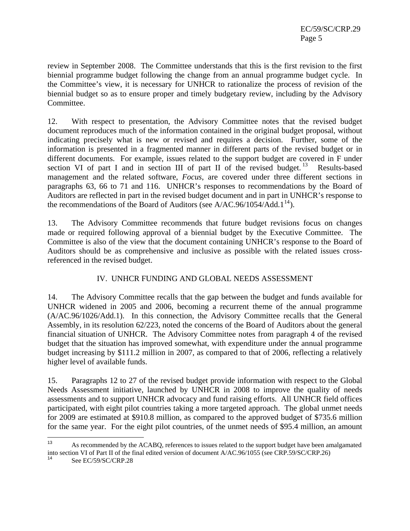<span id="page-6-0"></span>review in September 2008. The Committee understands that this is the first revision to the first biennial programme budget following the change from an annual programme budget cycle. In the Committee's view, it is necessary for UNHCR to rationalize the process of revision of the biennial budget so as to ensure proper and timely budgetary review, including by the Advisory Committee.

12. With respect to presentation, the Advisory Committee notes that the revised budget document reproduces much of the information contained in the original budget proposal, without indicating precisely what is new or revised and requires a decision. Further, some of the information is presented in a fragmented manner in different parts of the revised budget or in different documents. For example, issues related to the support budget are covered in F under section VI of part I and in section III of part II of the revised budget.<sup>[13](#page-6-0)</sup> Results-based management and the related software, *Focus*, are covered under three different sections in paragraphs 63, 66 to 71 and 116. UNHCR's responses to recommendations by the Board of Auditors are reflected in part in the revised budget document and in part in UNHCR's response to the recommendations of the Board of Auditors (see A/AC.96/1054/Add.1<sup>[14](#page-6-0)</sup>).

13. The Advisory Committee recommends that future budget revisions focus on changes made or required following approval of a biennial budget by the Executive Committee. The Committee is also of the view that the document containing UNHCR's response to the Board of Auditors should be as comprehensive and inclusive as possible with the related issues crossreferenced in the revised budget.

# IV. UNHCR FUNDING AND GLOBAL NEEDS ASSESSMENT

14. The Advisory Committee recalls that the gap between the budget and funds available for UNHCR widened in 2005 and 2006, becoming a recurrent theme of the annual programme (A/AC.96/1026/Add.1). In this connection, the Advisory Committee recalls that the General Assembly, in its resolution 62/223, noted the concerns of the Board of Auditors about the general financial situation of UNHCR. The Advisory Committee notes from paragraph 4 of the revised budget that the situation has improved somewhat, with expenditure under the annual programme budget increasing by \$111.2 million in 2007, as compared to that of 2006, reflecting a relatively higher level of available funds.

15. Paragraphs 12 to 27 of the revised budget provide information with respect to the Global Needs Assessment initiative, launched by UNHCR in 2008 to improve the quality of needs assessments and to support UNHCR advocacy and fund raising efforts. All UNHCR field offices participated, with eight pilot countries taking a more targeted approach. The global unmet needs for 2009 are estimated at \$910.8 million, as compared to the approved budget of \$735.6 million for the same year. For the eight pilot countries, of the unmet needs of \$95.4 million, an amount

 $13$ 13 As recommended by the ACABQ, references to issues related to the support budget have been amalgamated into section VI of Part II of the final edited version of document A/AC.96/1055 (see CRP.59/SC/CRP.26)

See EC/59/SC/CRP.28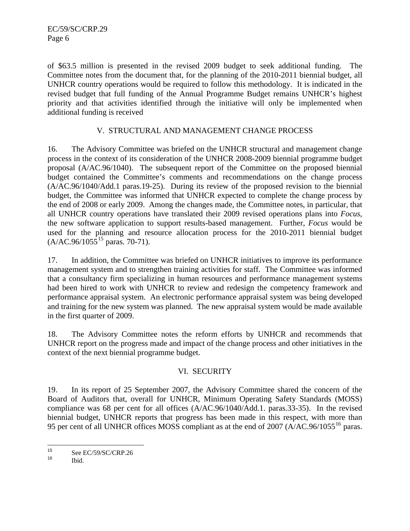<span id="page-7-0"></span>of \$63.5 million is presented in the revised 2009 budget to seek additional funding. The Committee notes from the document that, for the planning of the 2010-2011 biennial budget, all UNHCR country operations would be required to follow this methodology. It is indicated in the revised budget that full funding of the Annual Programme Budget remains UNHCR's highest priority and that activities identified through the initiative will only be implemented when additional funding is received

## V. STRUCTURAL AND MANAGEMENT CHANGE PROCESS

16. The Advisory Committee was briefed on the UNHCR structural and management change process in the context of its consideration of the UNHCR 2008-2009 biennial programme budget proposal (A/AC.96/1040). The subsequent report of the Committee on the proposed biennial budget contained the Committee's comments and recommendations on the change process (A/AC.96/1040/Add.1 paras.19-25). During its review of the proposed revision to the biennial budget, the Committee was informed that UNHCR expected to complete the change process by the end of 2008 or early 2009. Among the changes made, the Committee notes, in particular, that all UNHCR country operations have translated their 2009 revised operations plans into *Focus*, the new software application to support results-based management. Further, *Focus* would be used for the planning and resource allocation process for the 2010-2011 biennial budget  $(A/AC.96/1055^{15} \text{ paras. } 70-71).$ 

17. In addition, the Committee was briefed on UNHCR initiatives to improve its performance management system and to strengthen training activities for staff. The Committee was informed that a consultancy firm specializing in human resources and performance management systems had been hired to work with UNHCR to review and redesign the competency framework and performance appraisal system. An electronic performance appraisal system was being developed and training for the new system was planned. The new appraisal system would be made available in the first quarter of 2009.

18. The Advisory Committee notes the reform efforts by UNHCR and recommends that UNHCR report on the progress made and impact of the change process and other initiatives in the context of the next biennial programme budget.

# VI. SECURITY

19. In its report of 25 September 2007, the Advisory Committee shared the concern of the Board of Auditors that, overall for UNHCR, Minimum Operating Safety Standards (MOSS) compliance was 68 per cent for all offices (A/AC.96/1040/Add.1. paras.33-35). In the revised biennial budget, UNHCR reports that progress has been made in this respect, with more than 95 per cent of all UNHCR offices MOSS compliant as at the end of 2007 (A/AC.96/1055<sup>[16](#page-7-0)</sup> paras.

<sup>15</sup>  $^{15}$  See EC/59/SC/CRP.26

Ibid.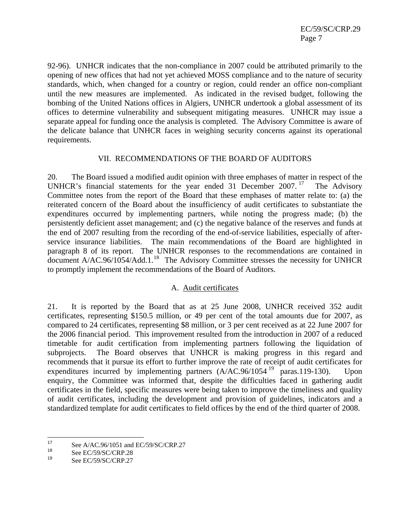<span id="page-8-0"></span>92-96). UNHCR indicates that the non-compliance in 2007 could be attributed primarily to the opening of new offices that had not yet achieved MOSS compliance and to the nature of security standards, which, when changed for a country or region, could render an office non-compliant until the new measures are implemented. As indicated in the revised budget, following the bombing of the United Nations offices in Algiers, UNHCR undertook a global assessment of its offices to determine vulnerability and subsequent mitigating measures. UNHCR may issue a separate appeal for funding once the analysis is completed. The Advisory Committee is aware of the delicate balance that UNHCR faces in weighing security concerns against its operational requirements.

### VII. RECOMMENDATIONS OF THE BOARD OF AUDITORS

20. The Board issued a modified audit opinion with three emphases of matter in respect of the UNHCR's financial statements for the year ended 31 December 2007.<sup>[17](#page-8-0)</sup> The Advisory Committee notes from the report of the Board that these emphases of matter relate to: (a) the reiterated concern of the Board about the insufficiency of audit certificates to substantiate the expenditures occurred by implementing partners, while noting the progress made; (b) the persistently deficient asset management; and (c) the negative balance of the reserves and funds at the end of 2007 resulting from the recording of the end-of-service liabilities, especially of afterservice insurance liabilities. The main recommendations of the Board are highlighted in paragraph 8 of its report. The UNHCR responses to the recommendations are contained in  $\frac{1}{2}$  document A/AC.96/1054/Add.1.<sup>[18](#page-8-0)</sup> The Advisory Committee stresses the necessity for UNHCR to promptly implement the recommendations of the Board of Auditors.

### A. Audit certificates

21. It is reported by the Board that as at 25 June 2008, UNHCR received 352 audit certificates, representing \$150.5 million, or 49 per cent of the total amounts due for 2007, as compared to 24 certificates, representing \$8 million, or 3 per cent received as at 22 June 2007 for the 2006 financial period. This improvement resulted from the introduction in 2007 of a reduced timetable for audit certification from implementing partners following the liquidation of subprojects. The Board observes that UNHCR is making progress in this regard and recommends that it pursue its effort to further improve the rate of receipt of audit certificates for expenditures incurred by implementing partners  $(A/AC.96/1054^{19}$  $(A/AC.96/1054^{19}$  $(A/AC.96/1054^{19}$  paras.119-130). Upon enquiry, the Committee was informed that, despite the difficulties faced in gathering audit certificates in the field, specific measures were being taken to improve the timeliness and quality of audit certificates, including the development and provision of guidelines, indicators and a standardized template for audit certificates to field offices by the end of the third quarter of 2008.

 $17$  $^{17}$  See A/AC.96/1051 and EC/59/SC/CRP.27<br> $^{18}$ 

<sup>&</sup>lt;sup>18</sup> See EC/59/SC/CRP.28

See EC/59/SC/CRP.27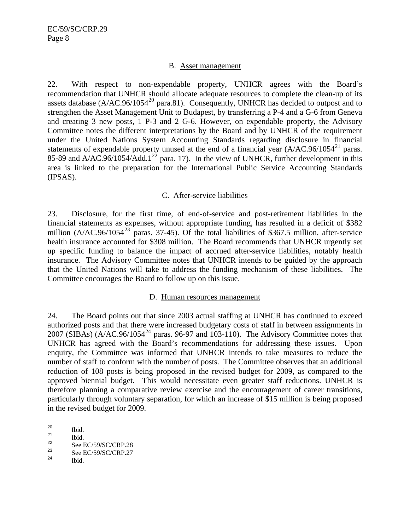### B. Asset management

<span id="page-9-0"></span>22. With respect to non-expendable property, UNHCR agrees with the Board's recommendation that UNHCR should allocate adequate resources to complete the clean-up of its assets database  $(A/AC.96/1054^{20}$  $(A/AC.96/1054^{20}$  $(A/AC.96/1054^{20}$  para.81). Consequently, UNHCR has decided to outpost and to strengthen the Asset Management Unit to Budapest, by transferring a P-4 and a G-6 from Geneva and creating 3 new posts, 1 P-3 and 2 G-6. However, on expendable property, the Advisory Committee notes the different interpretations by the Board and by UNHCR of the requirement under the United Nations System Accounting Standards regarding disclosure in financial statements of expendable property unused at the end of a financial year  $(A/AC.96/1054<sup>21</sup>$  $(A/AC.96/1054<sup>21</sup>$  $(A/AC.96/1054<sup>21</sup>$  paras. 85-89 and A/AC.96/1054/Add.1<sup>[22](#page-9-0)</sup> para. 17). In the view of UNHCR, further development in this area is linked to the preparation for the International Public Service Accounting Standards (IPSAS).

## C. After-service liabilities

23. Disclosure, for the first time, of end-of-service and post-retirement liabilities in the financial statements as expenses, without appropriate funding, has resulted in a deficit of \$382 million  $(A/AC.96/1054^{23}$  $(A/AC.96/1054^{23}$  $(A/AC.96/1054^{23}$  paras. 37-45). Of the total liabilities of \$367.5 million, after-service health insurance accounted for \$308 million. The Board recommends that UNHCR urgently set up specific funding to balance the impact of accrued after-service liabilities, notably health insurance. The Advisory Committee notes that UNHCR intends to be guided by the approach that the United Nations will take to address the funding mechanism of these liabilities. The Committee encourages the Board to follow up on this issue.

# D. Human resources management

24. The Board points out that since 2003 actual staffing at UNHCR has continued to exceed authorized posts and that there were increased budgetary costs of staff in between assignments in 2007 (SIBAs)  $(A/AC.96/1054<sup>24</sup>$  $(A/AC.96/1054<sup>24</sup>$  $(A/AC.96/1054<sup>24</sup>$  paras. 96-97 and 103-110). The Advisory Committee notes that UNHCR has agreed with the Board's recommendations for addressing these issues. Upon enquiry, the Committee was informed that UNHCR intends to take measures to reduce the number of staff to conform with the number of posts. The Committee observes that an additional reduction of 108 posts is being proposed in the revised budget for 2009, as compared to the approved biennial budget. This would necessitate even greater staff reductions. UNHCR is therefore planning a comparative review exercise and the encouragement of career transitions, particularly through voluntary separation, for which an increase of \$15 million is being proposed in the revised budget for 2009.

 $20$  $\frac{20}{21}$  Ibid.

 $\frac{21}{22}$  Ibid.

 $\frac{22}{23}$  See EC/59/SC/CRP.28

 $\frac{23}{24}$  See EC/59/SC/CRP.27

Ibid.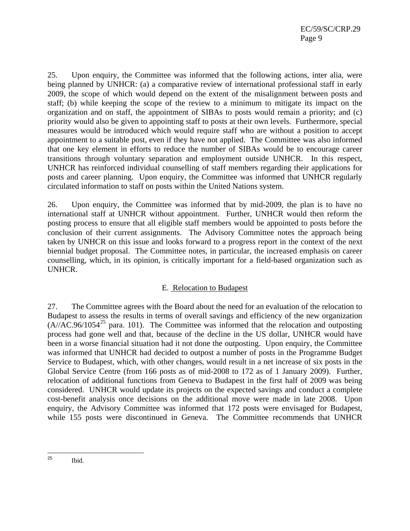<span id="page-10-0"></span>25. Upon enquiry, the Committee was informed that the following actions, inter alia, were being planned by UNHCR: (a) a comparative review of international professional staff in early 2009, the scope of which would depend on the extent of the misalignment between posts and staff; (b) while keeping the scope of the review to a minimum to mitigate its impact on the organization and on staff, the appointment of SIBAs to posts would remain a priority; and (c) priority would also be given to appointing staff to posts at their own levels. Furthermore, special measures would be introduced which would require staff who are without a position to accept appointment to a suitable post, even if they have not applied. The Committee was also informed that one key element in efforts to reduce the number of SIBAs would be to encourage career transitions through voluntary separation and employment outside UNHCR. In this respect, UNHCR has reinforced individual counselling of staff members regarding their applications for posts and career planning. Upon enquiry, the Committee was informed that UNHCR regularly circulated information to staff on posts within the United Nations system.

26. Upon enquiry, the Committee was informed that by mid-2009, the plan is to have no international staff at UNHCR without appointment. Further, UNHCR would then reform the posting process to ensure that all eligible staff members would be appointed to posts before the conclusion of their current assignments. The Advisory Committee notes the approach being taken by UNHCR on this issue and looks forward to a progress report in the context of the next biennial budget proposal. The Committee notes, in particular, the increased emphasis on career counselling, which, in its opinion, is critically important for a field-based organization such as UNHCR.

### E. Relocation to Budapest

27. The Committee agrees with the Board about the need for an evaluation of the relocation to Budapest to assess the results in terms of overall savings and efficiency of the new organization  $(A//AC.96/1054<sup>25</sup>$  $(A//AC.96/1054<sup>25</sup>$  $(A//AC.96/1054<sup>25</sup>$  para. 101). The Committee was informed that the relocation and outposting process had gone well and that, because of the decline in the US dollar, UNHCR would have been in a worse financial situation had it not done the outposting. Upon enquiry, the Committee was informed that UNHCR had decided to outpost a number of posts in the Programme Budget Service to Budapest, which, with other changes, would result in a net increase of six posts in the Global Service Centre (from 166 posts as of mid-2008 to 172 as of 1 January 2009). Further, relocation of additional functions from Geneva to Budapest in the first half of 2009 was being considered. UNHCR would update its projects on the expected savings and conduct a complete cost-benefit analysis once decisions on the additional move were made in late 2008. Upon enquiry, the Advisory Committee was informed that 172 posts were envisaged for Budapest, while 155 posts were discontinued in Geneva. The Committee recommends that UNHCR

<sup>25</sup> Ibid.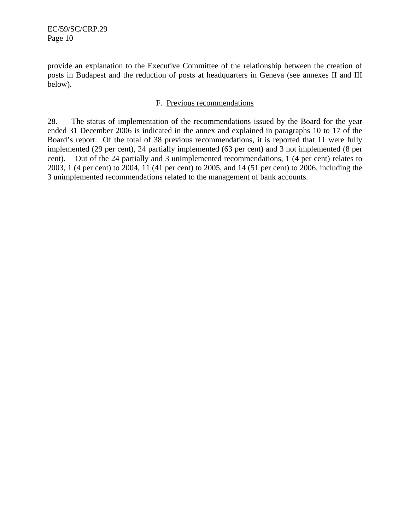provide an explanation to the Executive Committee of the relationship between the creation of posts in Budapest and the reduction of posts at headquarters in Geneva (see annexes II and III below).

# F. Previous recommendations

28. The status of implementation of the recommendations issued by the Board for the year ended 31 December 2006 is indicated in the annex and explained in paragraphs 10 to 17 of the Board's report. Of the total of 38 previous recommendations, it is reported that 11 were fully implemented (29 per cent), 24 partially implemented (63 per cent) and 3 not implemented (8 per cent). Out of the 24 partially and 3 unimplemented recommendations, 1 (4 per cent) relates to 2003, 1 (4 per cent) to 2004, 11 (41 per cent) to 2005, and 14 (51 per cent) to 2006, including the 3 unimplemented recommendations related to the management of bank accounts.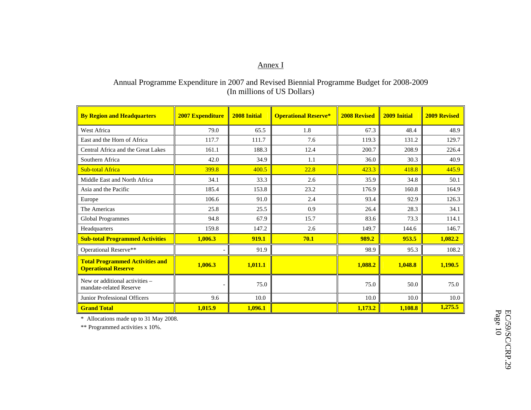### Annex I

# Annual Programme Expenditure in 2007 and Revised Biennial Programme Budget for 2008-2009 (In millions of US Dollars)

| <b>By Region and Headquarters</b>                                    | <b>2007 Expenditure</b>  | <b>2008 Initial</b> | <b>Operational Reserve*</b> | <b>2008 Revised</b> | <b>2009 Initial</b> | <b>2009 Revised</b> |
|----------------------------------------------------------------------|--------------------------|---------------------|-----------------------------|---------------------|---------------------|---------------------|
| West Africa                                                          | 79.0                     | 65.5                | 1.8                         | 67.3                | 48.4                | 48.9                |
| East and the Horn of Africa                                          | 117.7                    | 111.7               | 7.6                         | 119.3               | 131.2               | 129.7               |
| Central Africa and the Great Lakes                                   | 161.1                    | 188.3               | 12.4                        | 200.7               | 208.9               | 226.4               |
| Southern Africa                                                      | 42.0                     | 34.9                | 1.1                         | 36.0                | 30.3                | 40.9                |
| <b>Sub-total Africa</b>                                              | 399.8                    | 400.5               | 22.8                        | 423.3               | 418.8               | 445.9               |
| Middle East and North Africa                                         | 34.1                     | 33.3                | 2.6                         | 35.9                | 34.8                | 50.1                |
| Asia and the Pacific                                                 | 185.4                    | 153.8               | 23.2                        | 176.9               | 160.8               | 164.9               |
| Europe                                                               | 106.6                    | 91.0                | 2.4                         | 93.4                | 92.9                | 126.3               |
| The Americas                                                         | 25.8                     | 25.5                | 0.9                         | 26.4                | 28.3                | 34.1                |
| Global Programmes                                                    | 94.8                     | 67.9                | 15.7                        | 83.6                | 73.3                | 114.1               |
| Headquarters                                                         | 159.8                    | 147.2               | 2.6                         | 149.7               | 144.6               | 146.7               |
| <b>Sub-total Programmed Activities</b>                               | 1,006.3                  | 919.1               | 70.1                        | 989.2               | 953.5               | 1,082.2             |
| Operational Reserve**                                                | $\overline{\phantom{a}}$ | 91.9                |                             | 98.9                | 95.3                | 108.2               |
| <b>Total Programmed Activities and</b><br><b>Operational Reserve</b> | 1,006.3                  | 1,011.1             |                             | 1,088.2             | 1,048.8             | 1,190.5             |
| New or additional activities –<br>mandate-related Reserve            | $\overline{\phantom{a}}$ | 75.0                |                             | 75.0                | 50.0                | 75.0                |
| Junior Professional Officers                                         | 9.6                      | 10.0                |                             | 10.0                | 10.0                | 10.0                |
| <b>Grand Total</b>                                                   | 1,015.9                  | 1,096.1             |                             | 1,173.2             | 1,108.8             | 1,275.5             |

\* Allocations made up to 31 May 2008.

\*\* Programmed activities x 10%.

EC/59/SC/CRP.29<br>Page 10 EC/59/SC/CRP.29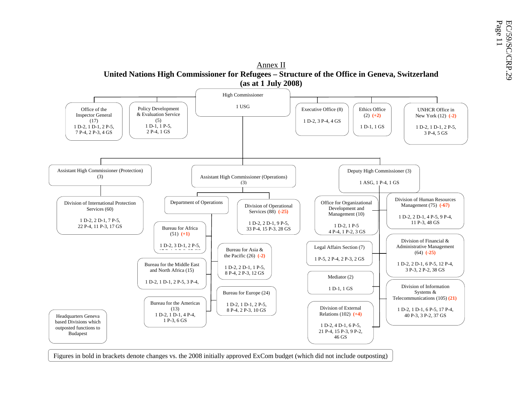